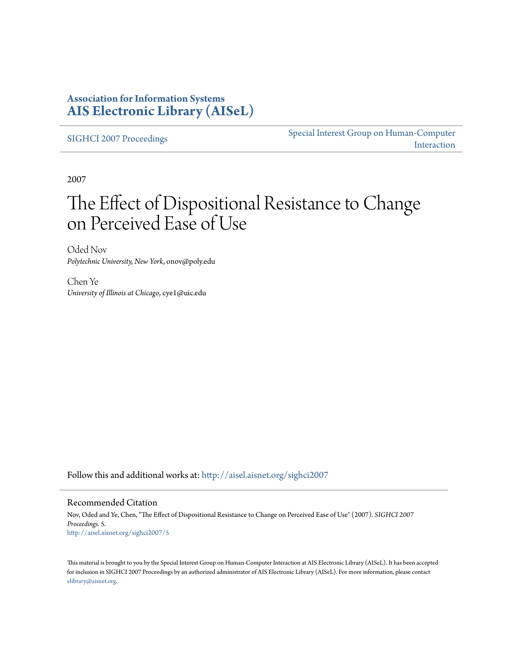### **Association for Information Systems [AIS Electronic Library \(AISeL\)](http://aisel.aisnet.org?utm_source=aisel.aisnet.org%2Fsighci2007%2F5&utm_medium=PDF&utm_campaign=PDFCoverPages)**

[SIGHCI 2007 Proceedings](http://aisel.aisnet.org/sighci2007?utm_source=aisel.aisnet.org%2Fsighci2007%2F5&utm_medium=PDF&utm_campaign=PDFCoverPages)

[Special Interest Group on Human-Computer](http://aisel.aisnet.org/sighci?utm_source=aisel.aisnet.org%2Fsighci2007%2F5&utm_medium=PDF&utm_campaign=PDFCoverPages) [Interaction](http://aisel.aisnet.org/sighci?utm_source=aisel.aisnet.org%2Fsighci2007%2F5&utm_medium=PDF&utm_campaign=PDFCoverPages)

2007

# The Effect of Dispositional Resistance to Change on Perceived Ease of Use

Oded Nov *Polytechnic University, New York*, onov@poly.edu

Chen Ye *University of Illinois at Chicago*, cye1@uic.edu

Follow this and additional works at: [http://aisel.aisnet.org/sighci2007](http://aisel.aisnet.org/sighci2007?utm_source=aisel.aisnet.org%2Fsighci2007%2F5&utm_medium=PDF&utm_campaign=PDFCoverPages)

### Recommended Citation

Nov, Oded and Ye, Chen, "The Effect of Dispositional Resistance to Change on Perceived Ease of Use" (2007). *SIGHCI 2007 Proceedings*. 5. [http://aisel.aisnet.org/sighci2007/5](http://aisel.aisnet.org/sighci2007/5?utm_source=aisel.aisnet.org%2Fsighci2007%2F5&utm_medium=PDF&utm_campaign=PDFCoverPages)

This material is brought to you by the Special Interest Group on Human-Computer Interaction at AIS Electronic Library (AISeL). It has been accepted for inclusion in SIGHCI 2007 Proceedings by an authorized administrator of AIS Electronic Library (AISeL). For more information, please contact [elibrary@aisnet.org.](mailto:elibrary@aisnet.org%3E)